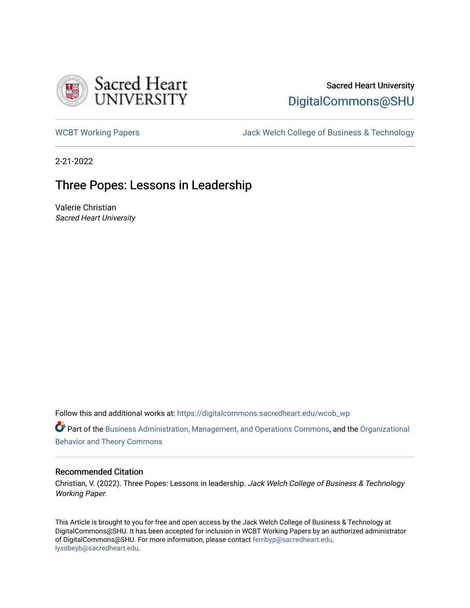

# Sacred Heart University [DigitalCommons@SHU](https://digitalcommons.sacredheart.edu/)

[WCBT Working Papers](https://digitalcommons.sacredheart.edu/wcob_wp) **Music College of Business & Technology** Jack Welch College of Business & Technology

2-21-2022

# Three Popes: Lessons in Leadership

Valerie Christian Sacred Heart University

Follow this and additional works at: [https://digitalcommons.sacredheart.edu/wcob\\_wp](https://digitalcommons.sacredheart.edu/wcob_wp?utm_source=digitalcommons.sacredheart.edu%2Fwcob_wp%2F22&utm_medium=PDF&utm_campaign=PDFCoverPages)

**C** Part of the [Business Administration, Management, and Operations Commons](http://network.bepress.com/hgg/discipline/623?utm_source=digitalcommons.sacredheart.edu%2Fwcob_wp%2F22&utm_medium=PDF&utm_campaign=PDFCoverPages), and the Organizational [Behavior and Theory Commons](http://network.bepress.com/hgg/discipline/639?utm_source=digitalcommons.sacredheart.edu%2Fwcob_wp%2F22&utm_medium=PDF&utm_campaign=PDFCoverPages) 

### Recommended Citation

Christian, V. (2022). Three Popes: Lessons in leadership. Jack Welch College of Business & Technology Working Paper.

This Article is brought to you for free and open access by the Jack Welch College of Business & Technology at DigitalCommons@SHU. It has been accepted for inclusion in WCBT Working Papers by an authorized administrator of DigitalCommons@SHU. For more information, please contact [ferribyp@sacredheart.edu,](mailto:ferribyp@sacredheart.edu,%20lysobeyb@sacredheart.edu)  [lysobeyb@sacredheart.edu](mailto:ferribyp@sacredheart.edu,%20lysobeyb@sacredheart.edu).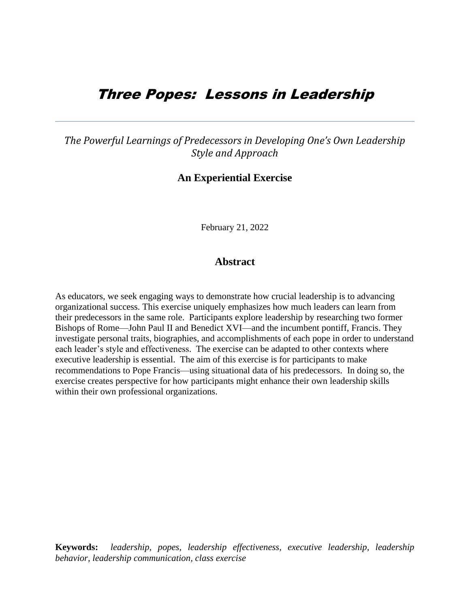# Three Popes: Lessons in Leadership

*The Powerful Learnings of Predecessors in Developing One's Own Leadership Style and Approach*

## **An Experiential Exercise**

February 21, 2022

## **Abstract**

As educators, we seek engaging ways to demonstrate how crucial leadership is to advancing organizational success. This exercise uniquely emphasizes how much leaders can learn from their predecessors in the same role. Participants explore leadership by researching two former Bishops of Rome—John Paul II and Benedict XVI—and the incumbent pontiff, Francis. They investigate personal traits, biographies, and accomplishments of each pope in order to understand each leader's style and effectiveness. The exercise can be adapted to other contexts where executive leadership is essential. The aim of this exercise is for participants to make recommendations to Pope Francis—using situational data of his predecessors. In doing so, the exercise creates perspective for how participants might enhance their own leadership skills within their own professional organizations.

**Keywords:** *leadership, popes, leadership effectiveness, executive leadership, leadership behavior, leadership communication, class exercise*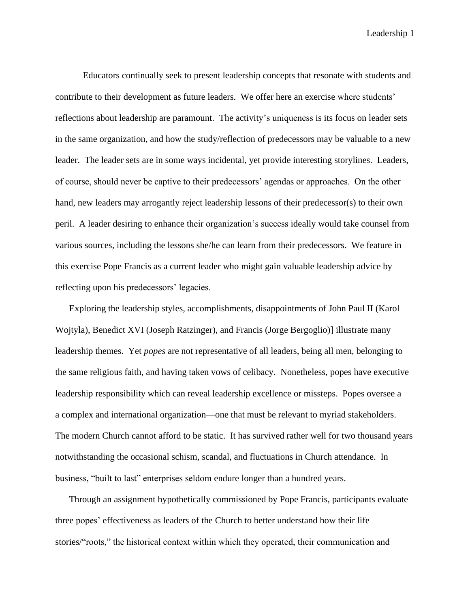Educators continually seek to present leadership concepts that resonate with students and contribute to their development as future leaders. We offer here an exercise where students' reflections about leadership are paramount. The activity's uniqueness is its focus on leader sets in the same organization, and how the study/reflection of predecessors may be valuable to a new leader. The leader sets are in some ways incidental, yet provide interesting storylines. Leaders, of course, should never be captive to their predecessors' agendas or approaches. On the other hand, new leaders may arrogantly reject leadership lessons of their predecessor(s) to their own peril. A leader desiring to enhance their organization's success ideally would take counsel from various sources, including the lessons she/he can learn from their predecessors. We feature in this exercise Pope Francis as a current leader who might gain valuable leadership advice by reflecting upon his predecessors' legacies.

Exploring the leadership styles, accomplishments, disappointments of John Paul II (Karol Wojtyla), Benedict XVI (Joseph Ratzinger), and Francis (Jorge Bergoglio)] illustrate many leadership themes. Yet *popes* are not representative of all leaders, being all men, belonging to the same religious faith, and having taken vows of celibacy. Nonetheless, popes have executive leadership responsibility which can reveal leadership excellence or missteps. Popes oversee a a complex and international organization—one that must be relevant to myriad stakeholders. The modern Church cannot afford to be static. It has survived rather well for two thousand years notwithstanding the occasional schism, scandal, and fluctuations in Church attendance. In business, "built to last" enterprises seldom endure longer than a hundred years.

Through an assignment hypothetically commissioned by Pope Francis, participants evaluate three popes' effectiveness as leaders of the Church to better understand how their life stories/"roots," the historical context within which they operated, their communication and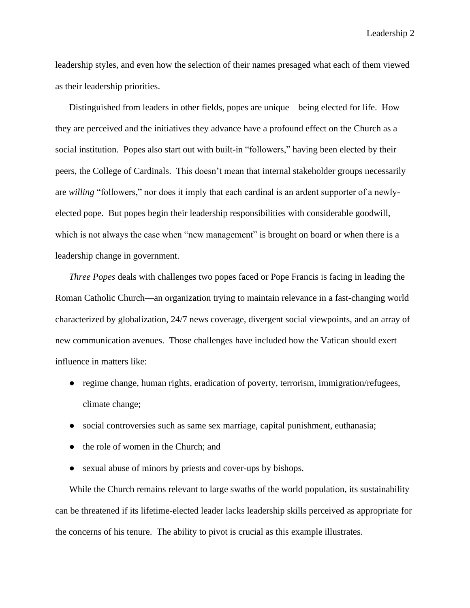leadership styles, and even how the selection of their names presaged what each of them viewed as their leadership priorities.

Distinguished from leaders in other fields, popes are unique—being elected for life. How they are perceived and the initiatives they advance have a profound effect on the Church as a social institution. Popes also start out with built-in "followers," having been elected by their peers, the College of Cardinals. This doesn't mean that internal stakeholder groups necessarily are *willing* "followers," nor does it imply that each cardinal is an ardent supporter of a newlyelected pope. But popes begin their leadership responsibilities with considerable goodwill, which is not always the case when "new management" is brought on board or when there is a leadership change in government.

*Three Popes* deals with challenges two popes faced or Pope Francis is facing in leading the Roman Catholic Church—an organization trying to maintain relevance in a fast-changing world characterized by globalization, 24/7 news coverage, divergent social viewpoints, and an array of new communication avenues. Those challenges have included how the Vatican should exert influence in matters like:

- regime change, human rights, eradication of poverty, terrorism, immigration/refugees, climate change;
- social controversies such as same sex marriage, capital punishment, euthanasia;
- the role of women in the Church; and
- sexual abuse of minors by priests and cover-ups by bishops.

While the Church remains relevant to large swaths of the world population, its sustainability can be threatened if its lifetime-elected leader lacks leadership skills perceived as appropriate for the concerns of his tenure. The ability to pivot is crucial as this example illustrates.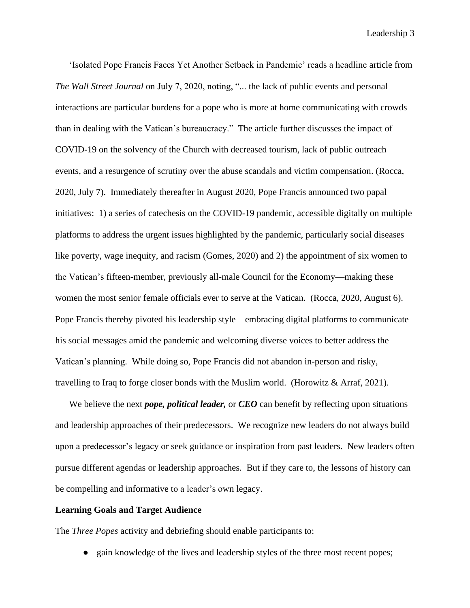'Isolated Pope Francis Faces Yet Another Setback in Pandemic' reads a headline article from *The Wall Street Journal* on July 7, 2020, noting, "... the lack of public events and personal interactions are particular burdens for a pope who is more at home communicating with crowds than in dealing with the Vatican's bureaucracy." The article further discusses the impact of COVID-19 on the solvency of the Church with decreased tourism, lack of public outreach events, and a resurgence of scrutiny over the abuse scandals and victim compensation. (Rocca, 2020, July 7). Immediately thereafter in August 2020, Pope Francis announced two papal initiatives: 1) a series of catechesis on the COVID-19 pandemic, accessible digitally on multiple platforms to address the urgent issues highlighted by the pandemic, particularly social diseases like poverty, wage inequity, and racism (Gomes, 2020) and 2) the appointment of six women to the Vatican's fifteen-member, previously all-male Council for the Economy—making these women the most senior female officials ever to serve at the Vatican. (Rocca, 2020, August 6). Pope Francis thereby pivoted his leadership style—embracing digital platforms to communicate his social messages amid the pandemic and welcoming diverse voices to better address the Vatican's planning. While doing so, Pope Francis did not abandon in-person and risky, travelling to Iraq to forge closer bonds with the Muslim world. (Horowitz & Arraf, 2021).

We believe the next *pope, political leader,* or *CEO* can benefit by reflecting upon situations and leadership approaches of their predecessors. We recognize new leaders do not always build upon a predecessor's legacy or seek guidance or inspiration from past leaders. New leaders often pursue different agendas or leadership approaches. But if they care to, the lessons of history can be compelling and informative to a leader's own legacy.

### **Learning Goals and Target Audience**

The *Three Popes* activity and debriefing should enable participants to:

● gain knowledge of the lives and leadership styles of the three most recent popes;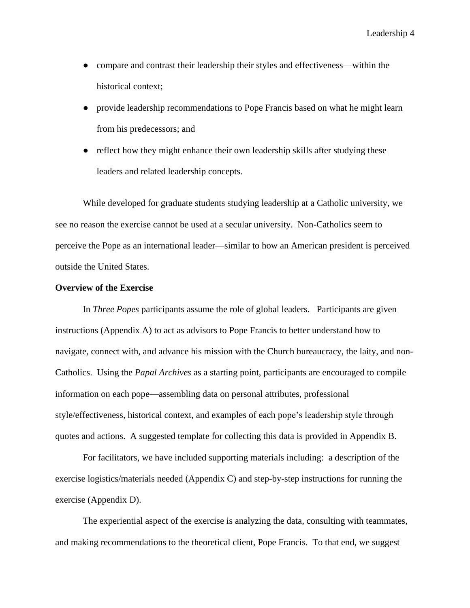- compare and contrast their leadership their styles and effectiveness—within the historical context;
- provide leadership recommendations to Pope Francis based on what he might learn from his predecessors; and
- reflect how they might enhance their own leadership skills after studying these leaders and related leadership concepts.

While developed for graduate students studying leadership at a Catholic university, we see no reason the exercise cannot be used at a secular university. Non-Catholics seem to perceive the Pope as an international leader—similar to how an American president is perceived outside the United States.

#### **Overview of the Exercise**

In *Three Popes* participants assume the role of global leaders. Participants are given instructions (Appendix A) to act as advisors to Pope Francis to better understand how to navigate, connect with, and advance his mission with the Church bureaucracy, the laity, and non-Catholics. Using the *Papal Archives* as a starting point, participants are encouraged to compile information on each pope—assembling data on personal attributes, professional style/effectiveness, historical context, and examples of each pope's leadership style through quotes and actions. A suggested template for collecting this data is provided in Appendix B.

For facilitators, we have included supporting materials including: a description of the exercise logistics/materials needed (Appendix C) and step-by-step instructions for running the exercise (Appendix D).

The experiential aspect of the exercise is analyzing the data, consulting with teammates, and making recommendations to the theoretical client, Pope Francis. To that end, we suggest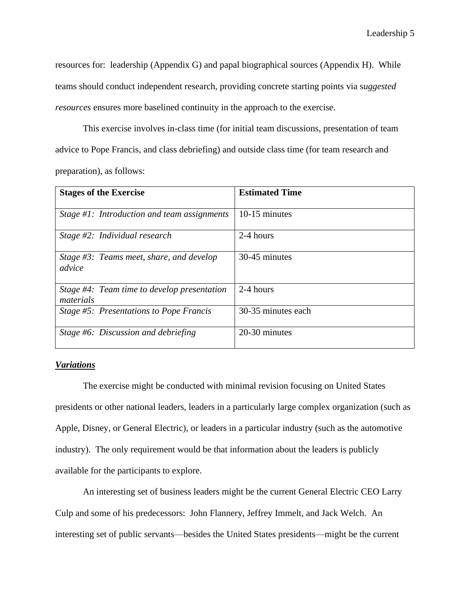resources for: leadership (Appendix G) and papal biographical sources (Appendix H). While teams should conduct independent research, providing concrete starting points via s*uggested resources* ensures more baselined continuity in the approach to the exercise.

This exercise involves in-class time (for initial team discussions, presentation of team advice to Pope Francis, and class debriefing) and outside class time (for team research and preparation), as follows:

| <b>Stages of the Exercise</b>                               | <b>Estimated Time</b> |
|-------------------------------------------------------------|-----------------------|
| Stage $#1$ : Introduction and team assignments              | 10-15 minutes         |
| Stage $#2$ : Individual research                            | 2-4 hours             |
| Stage $\#3$ : Teams meet, share, and develop<br>advice      | 30-45 minutes         |
| Stage $#4$ : Team time to develop presentation<br>materials | 2-4 hours             |
| Stage #5: Presentations to Pope Francis                     | 30-35 minutes each    |
| Stage #6: Discussion and debriefing                         | 20-30 minutes         |

### *Variations*

The exercise might be conducted with minimal revision focusing on United States presidents or other national leaders, leaders in a particularly large complex organization (such as Apple, Disney, or General Electric), or leaders in a particular industry (such as the automotive industry). The only requirement would be that information about the leaders is publicly available for the participants to explore.

An interesting set of business leaders might be the current General Electric CEO Larry Culp and some of his predecessors: John Flannery, Jeffrey Immelt, and Jack Welch. An interesting set of public servants—besides the United States presidents—might be the current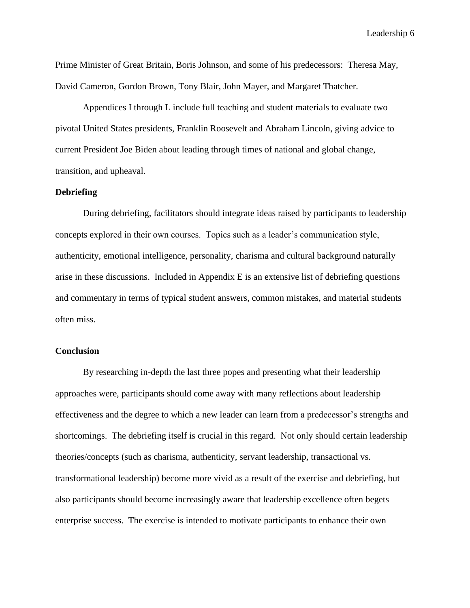Prime Minister of Great Britain, Boris Johnson, and some of his predecessors: Theresa May, David Cameron, Gordon Brown, Tony Blair, John Mayer, and Margaret Thatcher.

Appendices I through L include full teaching and student materials to evaluate two pivotal United States presidents, Franklin Roosevelt and Abraham Lincoln, giving advice to current President Joe Biden about leading through times of national and global change, transition, and upheaval.

#### **Debriefing**

During debriefing, facilitators should integrate ideas raised by participants to leadership concepts explored in their own courses. Topics such as a leader's communication style, authenticity, emotional intelligence, personality, charisma and cultural background naturally arise in these discussions. Included in Appendix E is an extensive list of debriefing questions and commentary in terms of typical student answers, common mistakes, and material students often miss.

## **Conclusion**

By researching in-depth the last three popes and presenting what their leadership approaches were, participants should come away with many reflections about leadership effectiveness and the degree to which a new leader can learn from a predecessor's strengths and shortcomings. The debriefing itself is crucial in this regard. Not only should certain leadership theories/concepts (such as charisma, authenticity, servant leadership, transactional vs. transformational leadership) become more vivid as a result of the exercise and debriefing, but also participants should become increasingly aware that leadership excellence often begets enterprise success. The exercise is intended to motivate participants to enhance their own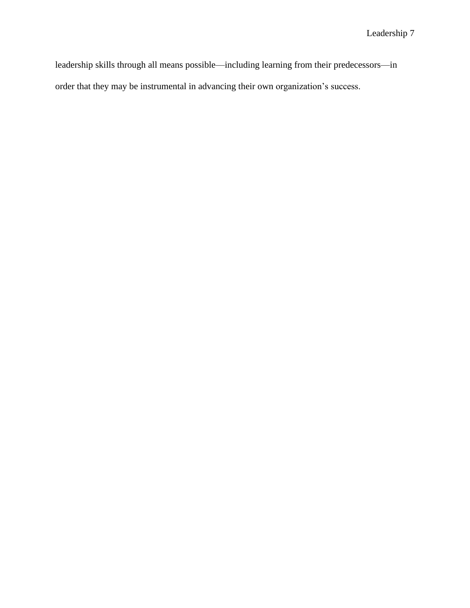leadership skills through all means possible—including learning from their predecessors—in order that they may be instrumental in advancing their own organization's success.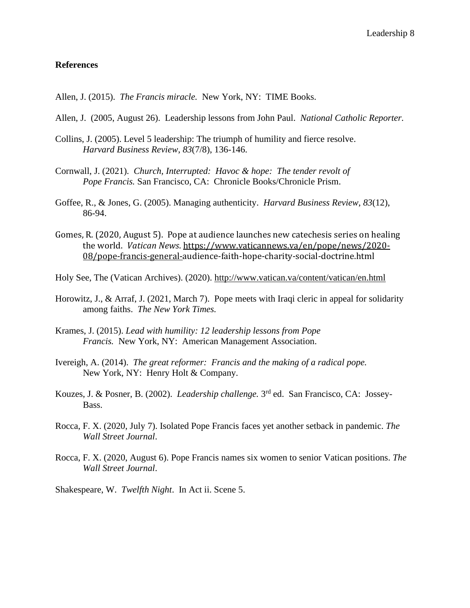## **References**

Allen, J. (2015). *The Francis miracle.* New York, NY: TIME Books.

- Allen, J. (2005, August 26). Leadership lessons from John Paul. *National Catholic Reporter.*
- Collins, J. (2005). Level 5 leadership: The triumph of humility and fierce resolve. *Harvard Business Review*, *83*(7/8), 136-146.
- Cornwall, J. (2021). *Church, Interrupted: Havoc & hope: The tender revolt of Pope Francis.* San Francisco, CA: Chronicle Books/Chronicle Prism.
- Goffee, R., & Jones, G. (2005). Managing authenticity. *Harvard Business Review*, *83*(12), 86-94.
- Gomes, R. (2020, August 5). Pope at audience launches new catechesis series on healing the world. *Vatican News*[. https://www.vaticannews.va/en/pope/news/2020-](https://www.vaticannews.va/en/pope/news/2020-08/pope-francis-general-) [08/pope-francis-general-a](https://www.vaticannews.va/en/pope/news/2020-08/pope-francis-general-)udience-faith-hope-charity-social-doctrine.html

Holy See, The (Vatican Archives). (2020).<http://www.vatican.va/content/vatican/en.html>

- Horowitz, J., & Arraf, J. (2021, March 7). Pope meets with Iraqi cleric in appeal for solidarity among faiths. *The New York Times.*
- Krames, J. (2015). *Lead with humility: 12 leadership lessons from Pope Francis.* New York, NY: American Management Association.
- Ivereigh, A. (2014). *The great reformer: Francis and the making of a radical pope.*  New York, NY: Henry Holt & Company.
- Kouzes, J. & Posner, B. (2002). *Leadership challenge*. 3<sup>rd</sup> ed. San Francisco, CA: Jossey-Bass.
- Rocca, F. X. (2020, July 7). Isolated Pope Francis faces yet another setback in pandemic. *The Wall Street Journal*.
- Rocca, F. X. (2020, August 6). Pope Francis names six women to senior Vatican positions. *The Wall Street Journal*.
- Shakespeare, W. *Twelfth Night*. In Act ii. Scene 5.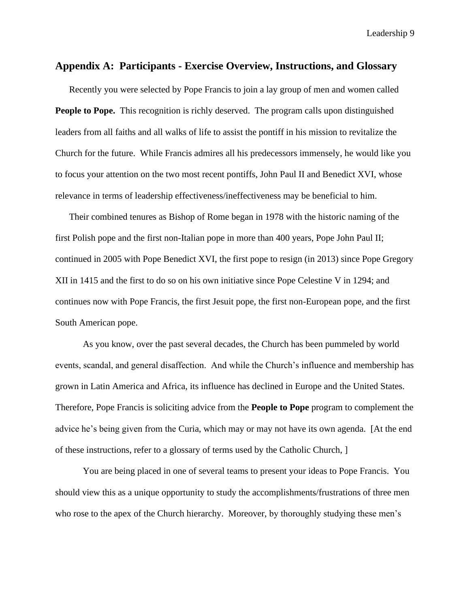## **Appendix A: Participants - Exercise Overview, Instructions, and Glossary**

Recently you were selected by Pope Francis to join a lay group of men and women called **People to Pope.** This recognition is richly deserved. The program calls upon distinguished leaders from all faiths and all walks of life to assist the pontiff in his mission to revitalize the Church for the future. While Francis admires all his predecessors immensely, he would like you to focus your attention on the two most recent pontiffs, John Paul II and Benedict XVI, whose relevance in terms of leadership effectiveness/ineffectiveness may be beneficial to him.

Their combined tenures as Bishop of Rome began in 1978 with the historic naming of the first Polish pope and the first non-Italian pope in more than 400 years, Pope John Paul II; continued in 2005 with Pope Benedict XVI, the first pope to resign (in 2013) since Pope Gregory XII in 1415 and the first to do so on his own initiative since Pope Celestine V in 1294; and continues now with Pope Francis, the first Jesuit pope, the first non-European pope, and the first South American pope.

As you know, over the past several decades, the Church has been pummeled by world events, scandal, and general disaffection. And while the Church's influence and membership has grown in Latin America and Africa, its influence has declined in Europe and the United States. Therefore, Pope Francis is soliciting advice from the **People to Pope** program to complement the advice he's being given from the Curia, which may or may not have its own agenda. [At the end of these instructions, refer to a glossary of terms used by the Catholic Church, ]

You are being placed in one of several teams to present your ideas to Pope Francis. You should view this as a unique opportunity to study the accomplishments/frustrations of three men who rose to the apex of the Church hierarchy. Moreover, by thoroughly studying these men's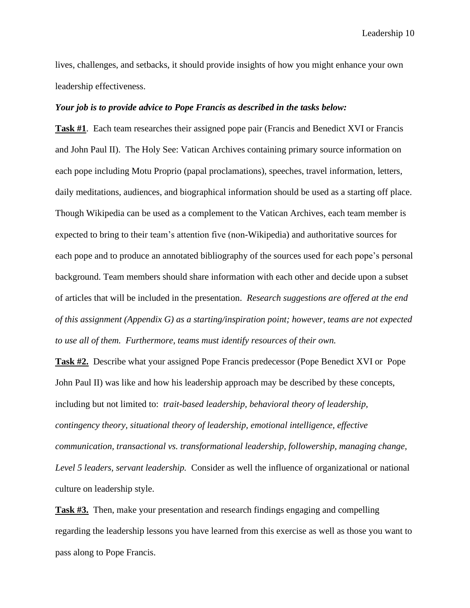lives, challenges, and setbacks, it should provide insights of how you might enhance your own leadership effectiveness.

#### *Your job is to provide advice to Pope Francis as described in the tasks below:*

**Task #1**. Each team researches their assigned pope pair (Francis and Benedict XVI or Francis and John Paul II). The Holy See: Vatican Archives containing primary source information on each pope including Motu Proprio (papal proclamations), speeches, travel information, letters, daily meditations, audiences, and biographical information should be used as a starting off place. Though Wikipedia can be used as a complement to the Vatican Archives, each team member is expected to bring to their team's attention five (non-Wikipedia) and authoritative sources for each pope and to produce an annotated bibliography of the sources used for each pope's personal background. Team members should share information with each other and decide upon a subset of articles that will be included in the presentation. *Research suggestions are offered at the end of this assignment (Appendix G) as a starting/inspiration point; however, teams are not expected to use all of them. Furthermore, teams must identify resources of their own.* 

**Task #2.** Describe what your assigned Pope Francis predecessor (Pope Benedict XVI or Pope John Paul II) was like and how his leadership approach may be described by these concepts, including but not limited to: *trait-based leadership, behavioral theory of leadership, contingency theory, situational theory of leadership, emotional intelligence, effective communication, transactional vs. transformational leadership, followership, managing change, Level 5 leaders, servant leadership.* Consider as well the influence of organizational or national culture on leadership style.

**Task #3.** Then, make your presentation and research findings engaging and compelling regarding the leadership lessons you have learned from this exercise as well as those you want to pass along to Pope Francis.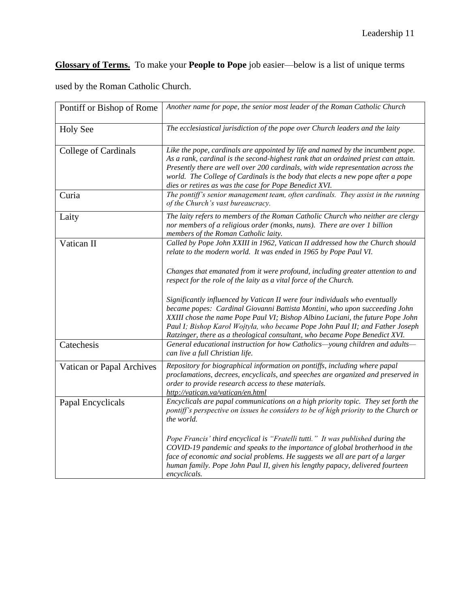**Glossary of Terms.** To make your **People to Pope** job easier—below is a list of unique terms

used by the Roman Catholic Church.

| Pontiff or Bishop of Rome | Another name for pope, the senior most leader of the Roman Catholic Church                                                                                                                                                                                                                                                                                                                                  |
|---------------------------|-------------------------------------------------------------------------------------------------------------------------------------------------------------------------------------------------------------------------------------------------------------------------------------------------------------------------------------------------------------------------------------------------------------|
| <b>Holy See</b>           | The ecclesiastical jurisdiction of the pope over Church leaders and the laity                                                                                                                                                                                                                                                                                                                               |
| College of Cardinals      | Like the pope, cardinals are appointed by life and named by the incumbent pope.<br>As a rank, cardinal is the second-highest rank that an ordained priest can attain.<br>Presently there are well over 200 cardinals, with wide representation across the<br>world. The College of Cardinals is the body that elects a new pope after a pope<br>dies or retires as was the case for Pope Benedict XVI.      |
| Curia                     | The pontiff's senior management team, often cardinals. They assist in the running<br>of the Church's vast bureaucracy.                                                                                                                                                                                                                                                                                      |
| Laity                     | The laity refers to members of the Roman Catholic Church who neither are clergy<br>nor members of a religious order (monks, nuns). There are over 1 billion<br>members of the Roman Catholic laity.                                                                                                                                                                                                         |
| Vatican II                | Called by Pope John XXIII in 1962, Vatican II addressed how the Church should<br>relate to the modern world. It was ended in 1965 by Pope Paul VI.                                                                                                                                                                                                                                                          |
|                           | Changes that emanated from it were profound, including greater attention to and<br>respect for the role of the laity as a vital force of the Church.                                                                                                                                                                                                                                                        |
|                           | Significantly influenced by Vatican II were four individuals who eventually<br>became popes: Cardinal Giovanni Battista Montini, who upon succeeding John<br>XXIII chose the name Pope Paul VI; Bishop Albino Luciani, the future Pope John<br>Paul I; Bishop Karol Wojtyła, who became Pope John Paul II; and Father Joseph<br>Ratzinger, there as a theological consultant, who became Pope Benedict XVI. |
| Catechesis                | General educational instruction for how Catholics-young children and adults-<br>can live a full Christian life.                                                                                                                                                                                                                                                                                             |
| Vatican or Papal Archives | Repository for biographical information on pontiffs, including where papal<br>proclamations, decrees, encyclicals, and speeches are organized and preserved in<br>order to provide research access to these materials.<br>http://vatican.va/vatican/en.html                                                                                                                                                 |
| Papal Encyclicals         | Encyclicals are papal communications on a high priority topic. They set forth the<br>pontiff's perspective on issues he considers to be of high priority to the Church or<br>the world.                                                                                                                                                                                                                     |
|                           | Pope Francis' third encyclical is "Fratelli tutti." It was published during the<br>COVID-19 pandemic and speaks to the importance of global brotherhood in the<br>face of economic and social problems. He suggests we all are part of a larger<br>human family. Pope John Paul II, given his lengthy papacy, delivered fourteen<br>encyclicals.                                                            |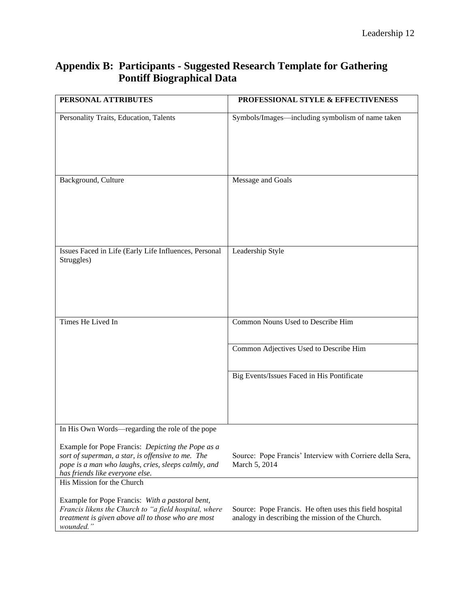# **Appendix B: Participants - Suggested Research Template for Gathering Pontiff Biographical Data**

| PERSONAL ATTRIBUTES                                                                                                                                                                              | PROFESSIONAL STYLE & EFFECTIVENESS                                                                          |
|--------------------------------------------------------------------------------------------------------------------------------------------------------------------------------------------------|-------------------------------------------------------------------------------------------------------------|
| Personality Traits, Education, Talents                                                                                                                                                           | Symbols/Images-including symbolism of name taken                                                            |
| Background, Culture                                                                                                                                                                              | Message and Goals                                                                                           |
| Issues Faced in Life (Early Life Influences, Personal<br>Struggles)                                                                                                                              | Leadership Style                                                                                            |
| Times He Lived In                                                                                                                                                                                | Common Nouns Used to Describe Him                                                                           |
|                                                                                                                                                                                                  | Common Adjectives Used to Describe Him                                                                      |
|                                                                                                                                                                                                  | Big Events/Issues Faced in His Pontificate                                                                  |
| In His Own Words—regarding the role of the pope                                                                                                                                                  |                                                                                                             |
| Example for Pope Francis: Depicting the Pope as a<br>sort of superman, a star, is offensive to me. The<br>pope is a man who laughs, cries, sleeps calmly, and<br>has friends like everyone else. | Source: Pope Francis' Interview with Corriere della Sera,<br>March 5, 2014                                  |
| His Mission for the Church                                                                                                                                                                       |                                                                                                             |
| Example for Pope Francis: With a pastoral bent,<br>Francis likens the Church to "a field hospital, where<br>treatment is given above all to those who are most<br>wounded."                      | Source: Pope Francis. He often uses this field hospital<br>analogy in describing the mission of the Church. |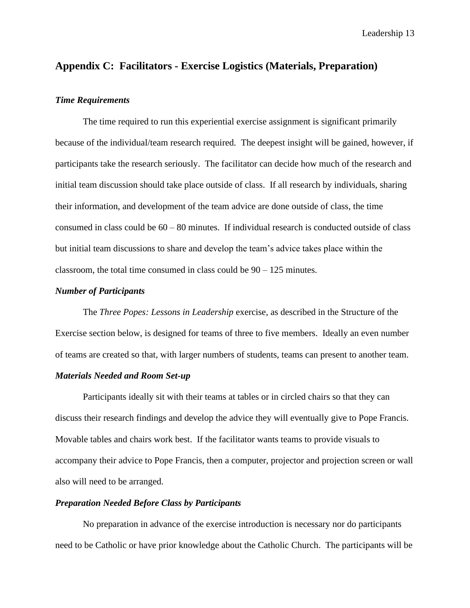## **Appendix C: Facilitators - Exercise Logistics (Materials, Preparation)**

#### *Time Requirements*

The time required to run this experiential exercise assignment is significant primarily because of the individual/team research required. The deepest insight will be gained, however, if participants take the research seriously. The facilitator can decide how much of the research and initial team discussion should take place outside of class. If all research by individuals, sharing their information, and development of the team advice are done outside of class, the time consumed in class could be  $60 - 80$  minutes. If individual research is conducted outside of class but initial team discussions to share and develop the team's advice takes place within the classroom, the total time consumed in class could be 90 – 125 minutes.

## *Number of Participants*

The *Three Popes: Lessons in Leadership* exercise, as described in the Structure of the Exercise section below, is designed for teams of three to five members. Ideally an even number of teams are created so that, with larger numbers of students, teams can present to another team.

## *Materials Needed and Room Set-up*

Participants ideally sit with their teams at tables or in circled chairs so that they can discuss their research findings and develop the advice they will eventually give to Pope Francis. Movable tables and chairs work best. If the facilitator wants teams to provide visuals to accompany their advice to Pope Francis, then a computer, projector and projection screen or wall also will need to be arranged.

## *Preparation Needed Before Class by Participants*

No preparation in advance of the exercise introduction is necessary nor do participants need to be Catholic or have prior knowledge about the Catholic Church. The participants will be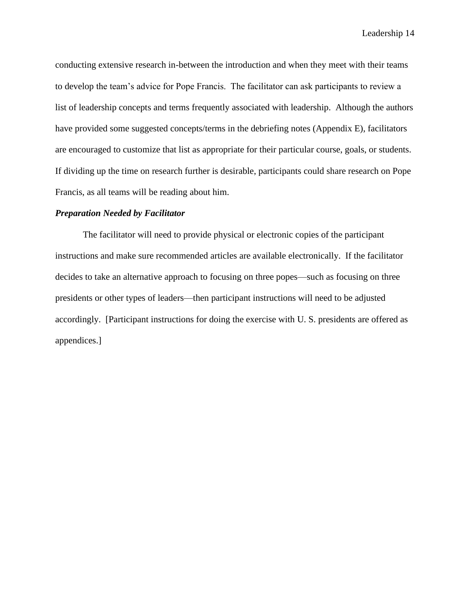conducting extensive research in-between the introduction and when they meet with their teams to develop the team's advice for Pope Francis. The facilitator can ask participants to review a list of leadership concepts and terms frequently associated with leadership. Although the authors have provided some suggested concepts/terms in the debriefing notes (Appendix E), facilitators are encouraged to customize that list as appropriate for their particular course, goals, or students. If dividing up the time on research further is desirable, participants could share research on Pope Francis, as all teams will be reading about him.

## *Preparation Needed by Facilitator*

The facilitator will need to provide physical or electronic copies of the participant instructions and make sure recommended articles are available electronically. If the facilitator decides to take an alternative approach to focusing on three popes—such as focusing on three presidents or other types of leaders—then participant instructions will need to be adjusted accordingly. [Participant instructions for doing the exercise with U. S. presidents are offered as appendices.]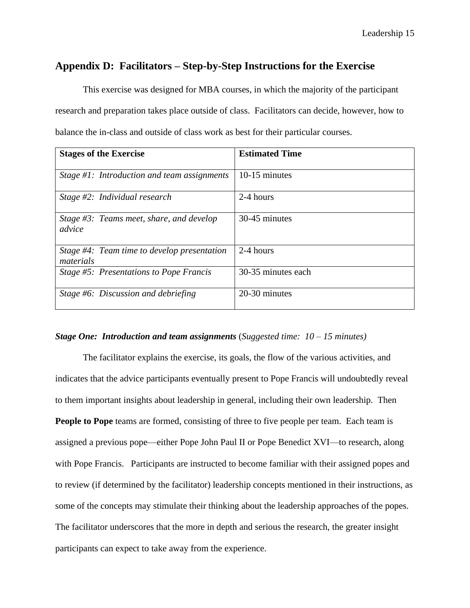# **Appendix D: Facilitators – Step-by-Step Instructions for the Exercise**

This exercise was designed for MBA courses, in which the majority of the participant research and preparation takes place outside of class. Facilitators can decide, however, how to balance the in-class and outside of class work as best for their particular courses.

| <b>Stages of the Exercise</b>                               | <b>Estimated Time</b> |
|-------------------------------------------------------------|-----------------------|
| Stage $#1$ : Introduction and team assignments              | 10-15 minutes         |
| Stage $#2$ : Individual research                            | 2-4 hours             |
| Stage $\#3$ : Teams meet, share, and develop<br>advice      | 30-45 minutes         |
| Stage $#4$ : Team time to develop presentation<br>materials | 2-4 hours             |
| Stage #5: Presentations to Pope Francis                     | 30-35 minutes each    |
| Stage #6: Discussion and debriefing                         | 20-30 minutes         |

### *Stage One: Introduction and team assignments* (*Suggested time: 10 – 15 minutes)*

The facilitator explains the exercise, its goals, the flow of the various activities, and indicates that the advice participants eventually present to Pope Francis will undoubtedly reveal to them important insights about leadership in general, including their own leadership. Then **People to Pope** teams are formed, consisting of three to five people per team. Each team is assigned a previous pope—either Pope John Paul II or Pope Benedict XVI—to research, along with Pope Francis. Participants are instructed to become familiar with their assigned popes and to review (if determined by the facilitator) leadership concepts mentioned in their instructions, as some of the concepts may stimulate their thinking about the leadership approaches of the popes. The facilitator underscores that the more in depth and serious the research, the greater insight participants can expect to take away from the experience.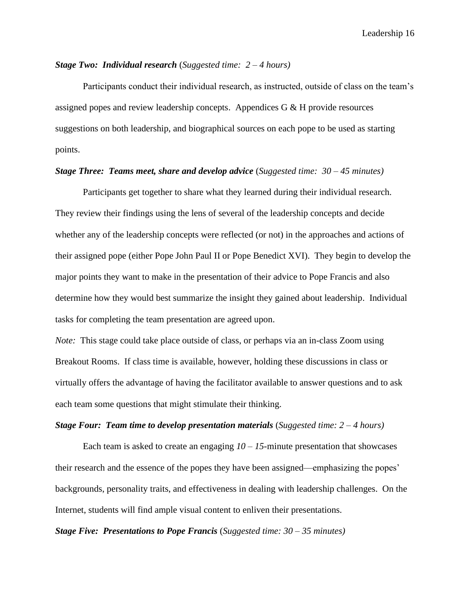## *Stage Two: Individual research* (*Suggested time: 2 – 4 hours)*

Participants conduct their individual research, as instructed, outside of class on the team's assigned popes and review leadership concepts. Appendices G & H provide resources suggestions on both leadership, and biographical sources on each pope to be used as starting points.

### *Stage Three: Teams meet, share and develop advice* (*Suggested time: 30 – 45 minutes)*

Participants get together to share what they learned during their individual research. They review their findings using the lens of several of the leadership concepts and decide whether any of the leadership concepts were reflected (or not) in the approaches and actions of their assigned pope (either Pope John Paul II or Pope Benedict XVI). They begin to develop the major points they want to make in the presentation of their advice to Pope Francis and also determine how they would best summarize the insight they gained about leadership. Individual tasks for completing the team presentation are agreed upon.

*Note:* This stage could take place outside of class, or perhaps via an in-class Zoom using Breakout Rooms. If class time is available, however, holding these discussions in class or virtually offers the advantage of having the facilitator available to answer questions and to ask each team some questions that might stimulate their thinking.

## *Stage Four: Team time to develop presentation materials* (*Suggested time: 2 – 4 hours)*

Each team is asked to create an engaging  $10 - 15$ -minute presentation that showcases their research and the essence of the popes they have been assigned—emphasizing the popes' backgrounds, personality traits, and effectiveness in dealing with leadership challenges. On the Internet, students will find ample visual content to enliven their presentations.

#### *Stage Five: Presentations to Pope Francis* (*Suggested time: 30 – 35 minutes)*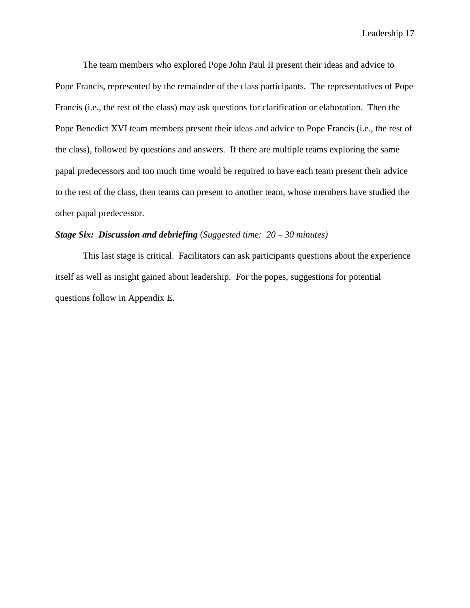The team members who explored Pope John Paul II present their ideas and advice to Pope Francis, represented by the remainder of the class participants. The representatives of Pope Francis (i.e., the rest of the class) may ask questions for clarification or elaboration. Then the Pope Benedict XVI team members present their ideas and advice to Pope Francis (i.e., the rest of the class), followed by questions and answers. If there are multiple teams exploring the same papal predecessors and too much time would be required to have each team present their advice to the rest of the class, then teams can present to another team, whose members have studied the other papal predecessor.

## *Stage Six: Discussion and debriefing* (*Suggested time: 20 – 30 minutes)*

This last stage is critical. Facilitators can ask participants questions about the experience itself as well as insight gained about leadership. For the popes, suggestions for potential questions follow in Appendix E.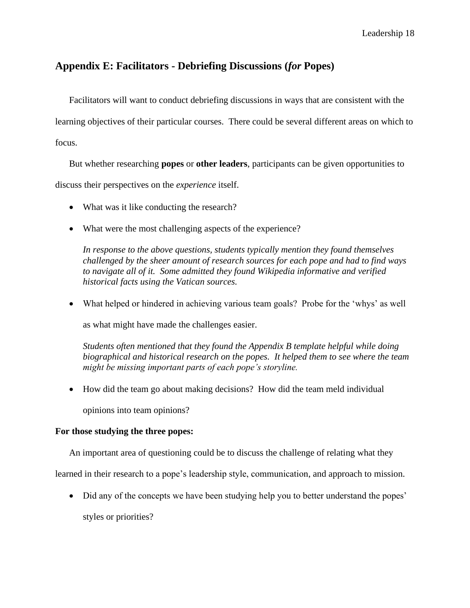# **Appendix E: Facilitators - Debriefing Discussions (***for* **Popes)**

Facilitators will want to conduct debriefing discussions in ways that are consistent with the

learning objectives of their particular courses. There could be several different areas on which to

focus.

But whether researching **popes** or **other leaders**, participants can be given opportunities to

discuss their perspectives on the *experience* itself.

- What was it like conducting the research?
- What were the most challenging aspects of the experience?

*In response to the above questions, students typically mention they found themselves challenged by the sheer amount of research sources for each pope and had to find ways to navigate all of it. Some admitted they found Wikipedia informative and verified historical facts using the Vatican sources.* 

• What helped or hindered in achieving various team goals? Probe for the 'whys' as well as what might have made the challenges easier.

*Students often mentioned that they found the Appendix B template helpful while doing biographical and historical research on the popes. It helped them to see where the team might be missing important parts of each pope's storyline.* 

• How did the team go about making decisions? How did the team meld individual

opinions into team opinions?

## **For those studying the three popes:**

An important area of questioning could be to discuss the challenge of relating what they

learned in their research to a pope's leadership style, communication, and approach to mission.

• Did any of the concepts we have been studying help you to better understand the popes' styles or priorities?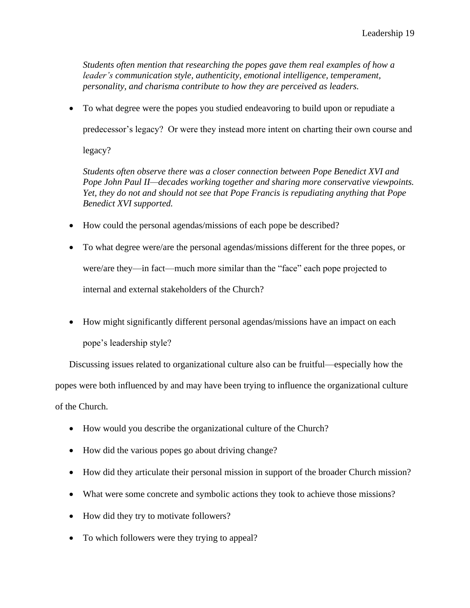*Students often mention that researching the popes gave them real examples of how a leader's communication style, authenticity, emotional intelligence, temperament, personality, and charisma contribute to how they are perceived as leaders.* 

• To what degree were the popes you studied endeavoring to build upon or repudiate a

predecessor's legacy? Or were they instead more intent on charting their own course and

legacy?

*Students often observe there was a closer connection between Pope Benedict XVI and Pope John Paul II—decades working together and sharing more conservative viewpoints. Yet, they do not and should not see that Pope Francis is repudiating anything that Pope Benedict XVI supported.* 

- How could the personal agendas/missions of each pope be described?
- To what degree were/are the personal agendas/missions different for the three popes, or were/are they—in fact—much more similar than the "face" each pope projected to internal and external stakeholders of the Church?
- How might significantly different personal agendas/missions have an impact on each pope's leadership style?

Discussing issues related to organizational culture also can be fruitful—especially how the popes were both influenced by and may have been trying to influence the organizational culture of the Church.

- How would you describe the organizational culture of the Church?
- How did the various popes go about driving change?
- How did they articulate their personal mission in support of the broader Church mission?
- What were some concrete and symbolic actions they took to achieve those missions?
- How did they try to motivate followers?
- To which followers were they trying to appeal?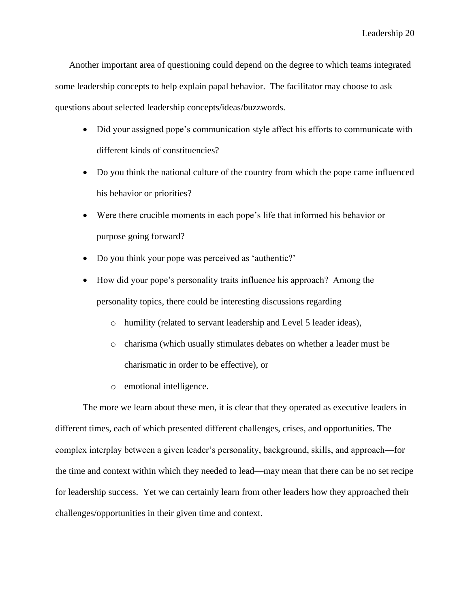Another important area of questioning could depend on the degree to which teams integrated some leadership concepts to help explain papal behavior. The facilitator may choose to ask questions about selected leadership concepts/ideas/buzzwords.

- Did your assigned pope's communication style affect his efforts to communicate with different kinds of constituencies?
- Do you think the national culture of the country from which the pope came influenced his behavior or priorities?
- Were there crucible moments in each pope's life that informed his behavior or purpose going forward?
- Do you think your pope was perceived as 'authentic?'
- How did your pope's personality traits influence his approach? Among the personality topics, there could be interesting discussions regarding
	- o humility (related to servant leadership and Level 5 leader ideas),
	- o charisma (which usually stimulates debates on whether a leader must be charismatic in order to be effective), or
	- o emotional intelligence.

The more we learn about these men, it is clear that they operated as executive leaders in different times, each of which presented different challenges, crises, and opportunities. The complex interplay between a given leader's personality, background, skills, and approach—for the time and context within which they needed to lead—may mean that there can be no set recipe for leadership success. Yet we can certainly learn from other leaders how they approached their challenges/opportunities in their given time and context.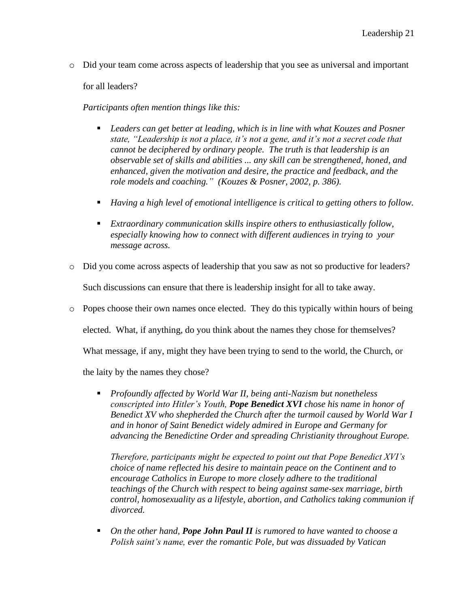o Did your team come across aspects of leadership that you see as universal and important

for all leaders?

*Participants often mention things like this:* 

- *Leaders can get better at leading, which is in line with what Kouzes and Posner state, "Leadership is not a place, it's not a gene, and it's not a secret code that cannot be deciphered by ordinary people. The truth is that leadership is an observable set of skills and abilities ... any skill can be strengthened, honed, and enhanced, given the motivation and desire, the practice and feedback, and the role models and coaching." (Kouzes & Posner, 2002, p. 386).*
- *Having a high level of emotional intelligence is critical to getting others to follow.*
- *Extraordinary communication skills inspire others to enthusiastically follow, especially knowing how to connect with different audiences in trying to your message across.*
- o Did you come across aspects of leadership that you saw as not so productive for leaders?

Such discussions can ensure that there is leadership insight for all to take away.

o Popes choose their own names once elected. They do this typically within hours of being

elected. What, if anything, do you think about the names they chose for themselves?

What message, if any, might they have been trying to send to the world, the Church, or

the laity by the names they chose?

■ *Profoundly affected by World War II, being anti-Nazism but nonetheless conscripted into Hitler's Youth, Pope Benedict XVI chose his name in honor of Benedict XV who shepherded the Church after the turmoil caused by World War I and in honor of Saint Benedict widely admired in Europe and Germany for advancing the Benedictine Order and spreading Christianity throughout Europe.*

*Therefore, participants might be expected to point out that Pope Benedict XVI's choice of name reflected his desire to maintain peace on the Continent and to encourage Catholics in Europe to more closely adhere to the traditional teachings of the Church with respect to being against same-sex marriage, birth control, homosexuality as a lifestyle, abortion, and Catholics taking communion if divorced.* 

■ *On the other hand, Pope John Paul II is rumored to have wanted to choose a Polish saint's name, ever the romantic Pole, but was dissuaded by Vatican*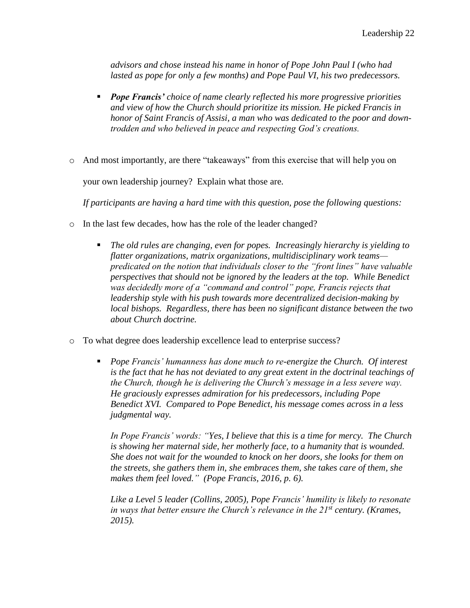*advisors and chose instead his name in honor of Pope John Paul I (who had lasted as pope for only a few months) and Pope Paul VI, his two predecessors.* 

- *Pope Francis' choice of name clearly reflected his more progressive priorities and view of how the Church should prioritize its mission. He picked Francis in honor of Saint Francis of Assisi, a man who was dedicated to the poor and downtrodden and who believed in peace and respecting God's creations.*
- o And most importantly, are there "takeaways" from this exercise that will help you on

your own leadership journey? Explain what those are.

*If participants are having a hard time with this question, pose the following questions:* 

- o In the last few decades, how has the role of the leader changed?
	- The old rules are changing, even for popes. Increasingly hierarchy is yielding to *flatter organizations, matrix organizations, multidisciplinary work teams predicated on the notion that individuals closer to the "front lines" have valuable perspectives that should not be ignored by the leaders at the top. While Benedict was decidedly more of a "command and control" pope, Francis rejects that leadership style with his push towards more decentralized decision-making by local bishops. Regardless, there has been no significant distance between the two about Church doctrine.*
- o To what degree does leadership excellence lead to enterprise success?
	- *Pope Francis' humanness has done much to re-energize the Church. Of interest is the fact that he has not deviated to any great extent in the doctrinal teachings of the Church, though he is delivering the Church's message in a less severe way. He graciously expresses admiration for his predecessors, including Pope Benedict XVI. Compared to Pope Benedict, his message comes across in a less judgmental way.*

*In Pope Francis' words: "Yes, I believe that this is a time for mercy. The Church is showing her maternal side, her motherly face, to a humanity that is wounded. She does not wait for the wounded to knock on her doors, she looks for them on the streets, she gathers them in, she embraces them, she takes care of them, she makes them feel loved." (Pope Francis, 2016, p. 6).* 

*Like a Level 5 leader (Collins, 2005), Pope Francis' humility is likely to resonate in ways that better ensure the Church's relevance in the 21st century. (Krames, 2015).*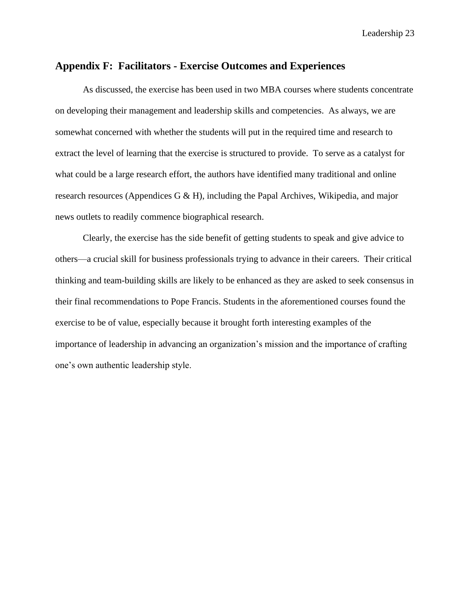## **Appendix F: Facilitators - Exercise Outcomes and Experiences**

As discussed, the exercise has been used in two MBA courses where students concentrate on developing their management and leadership skills and competencies. As always, we are somewhat concerned with whether the students will put in the required time and research to extract the level of learning that the exercise is structured to provide. To serve as a catalyst for what could be a large research effort, the authors have identified many traditional and online research resources (Appendices G & H), including the Papal Archives, Wikipedia, and major news outlets to readily commence biographical research.

Clearly, the exercise has the side benefit of getting students to speak and give advice to others—a crucial skill for business professionals trying to advance in their careers. Their critical thinking and team-building skills are likely to be enhanced as they are asked to seek consensus in their final recommendations to Pope Francis. Students in the aforementioned courses found the exercise to be of value, especially because it brought forth interesting examples of the importance of leadership in advancing an organization's mission and the importance of crafting one's own authentic leadership style.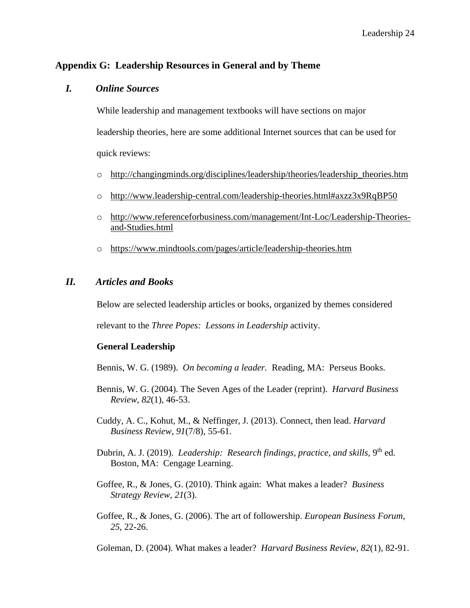## **Appendix G: Leadership Resources in General and by Theme**

## *I. Online Sources*

While leadership and management textbooks will have sections on major

leadership theories, here are some additional Internet sources that can be used for

quick reviews:

- o [http://changingminds.org/disciplines/leadership/theories/leadership\\_theories.htm](http://changingminds.org/disciplines/leadership/theories/leadership_theories.htm)
- o <http://www.leadership-central.com/leadership-theories.html#axzz3x9RqBP50>
- o [http://www.referenceforbusiness.com/management/Int-Loc/Leadership-Theories](http://www.referenceforbusiness.com/management/Int-Loc/Leadership-Theories-and-Studies.html)[and-Studies.html](http://www.referenceforbusiness.com/management/Int-Loc/Leadership-Theories-and-Studies.html)
- o <https://www.mindtools.com/pages/article/leadership-theories.htm>

## *II. Articles and Books*

Below are selected leadership articles or books, organized by themes considered

relevant to the *Three Popes: Lessons in Leadership* activity.

## **General Leadership**

Bennis, W. G. (1989). *On becoming a leader.* Reading, MA: Perseus Books.

- Bennis, W. G. (2004). The Seven Ages of the Leader (reprint). *Harvard Business Review*, *82*(1), 46-53.
- Cuddy, A. C., Kohut, M., & Neffinger, J. (2013). Connect, then lead. *Harvard Business Review*, *91*(7/8), 55-61.
- Dubrin, A. J. (2019). *Leadership: Research findings, practice, and skills*, 9<sup>th</sup> ed. Boston, MA: Cengage Learning.
- Goffee, R., & Jones, G. (2010). Think again: What makes a leader? *Business Strategy Review*, *21*(3).
- Goffee, R., & Jones, G. (2006). The art of followership. *European Business Forum*, *25*, 22-26.

Goleman, D. (2004). What makes a leader? *Harvard Business Review*, *82*(1), 82-91.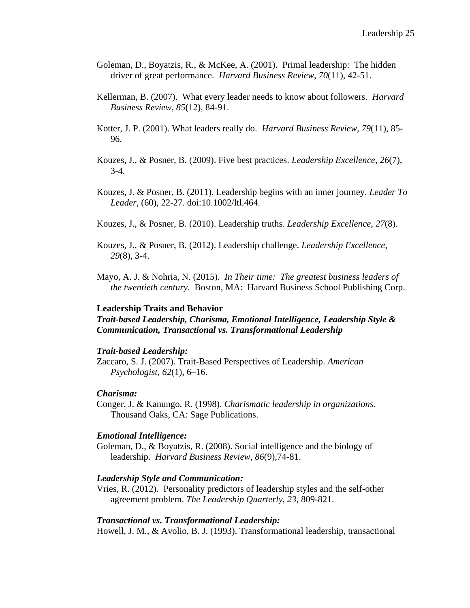- Goleman, D., Boyatzis, R., & McKee, A. (2001). Primal leadership: The hidden driver of great performance. *Harvard Business Review*, *70*(11), 42-51.
- Kellerman, B. (2007). What every leader needs to know about followers. *Harvard Business Review*, *85*(12), 84-91.
- Kotter, J. P. (2001). What leaders really do. *Harvard Business Review*, *79*(11), 85- 96.
- Kouzes, J., & Posner, B. (2009). Five best practices. *Leadership Excellence*, *26*(7), 3-4.
- Kouzes, J. & Posner, B. (2011). Leadership begins with an inner journey. *Leader To Leader*, (60), 22-27. doi:10.1002/ltl.464.
- Kouzes, J., & Posner, B. (2010). Leadership truths. *Leadership Excellence*, *27*(8).
- Kouzes, J., & Posner, B. (2012). Leadership challenge. *Leadership Excellence*, *29*(8), 3-4.
- Mayo, A. J. & Nohria, N. (2015). *In Their time: The greatest business leaders of the twentieth century.* Boston, MA: Harvard Business School Publishing Corp.

### **Leadership Traits and Behavior**

*Trait-based Leadership, Charisma, Emotional Intelligence, Leadership Style & Communication, Transactional vs. Transformational Leadership*

#### *Trait-based Leadership:*

Zaccaro, S. J. (2007). Trait-Based Perspectives of Leadership. *American Psychologist*, *62*(1), 6–16.

#### *Charisma:*

Conger, J. & Kanungo, R. (1998). *Charismatic leadership in organizations.*  Thousand Oaks, CA: Sage Publications.

## *Emotional Intelligence:*

Goleman, D., & Boyatzis, R. (2008). Social intelligence and the biology of leadership. *Harvard Business Review*, *86*(9),74-81.

#### *Leadership Style and Communication:*

Vries, R. (2012). Personality predictors of leadership styles and the self-other agreement problem. *The Leadership Quarterly, 23*, 809-821.

#### *Transactional vs. Transformational Leadership:*

Howell, J. M., & Avolio, B. J. (1993). Transformational leadership, transactional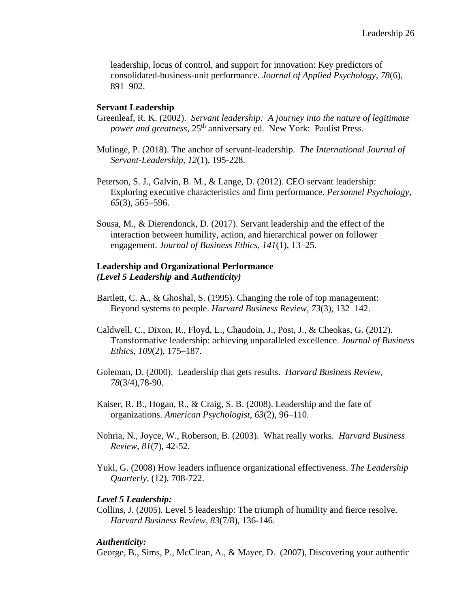leadership, locus of control, and support for innovation: Key predictors of consolidated-business-unit performance. *Journal of Applied Psychology*, *78*(6), 891–902.

## **Servant Leadership**

- Greenleaf, R. K. (2002). *Servant leadership: A journey into the nature of legitimate power and greatness,* 25<sup>th</sup> anniversary ed. New York: Paulist Press.
- Mulinge, P. (2018). The anchor of servant-leadership. *The International Journal of Servant-Leadership, 12*(1), 195-228.
- Peterson, S. J., Galvin, B. M., & Lange, D. (2012). CEO servant leadership: Exploring executive characteristics and firm performance. *Personnel Psychology*, *65*(3), 565–596.
- Sousa, M., & Dierendonck, D. (2017). Servant leadership and the effect of the interaction between humility, action, and hierarchical power on follower engagement. *Journal of Business Ethics*, *141*(1), 13–25.

## **Leadership and Organizational Performance** *(Level 5 Leadership* **and** *Authenticity)*

- Bartlett, C. A., & Ghoshal, S. (1995). Changing the role of top management: Beyond systems to people. *Harvard Business Review*, *73*(3), 132–142.
- Caldwell, C., Dixon, R., Floyd, L., Chaudoin, J., Post, J., & Cheokas, G. (2012). Transformative leadership: achieving unparalleled excellence. *Journal of Business Ethics*, *109*(2), 175–187.
- Goleman, D. (2000). Leadership that gets results. *Harvard Business Review*, *78*(3/4),78-90.
- Kaiser, R. B., Hogan, R., & Craig, S. B. (2008). Leadership and the fate of organizations. *American Psychologist*, *63*(2), 96–110.
- Nohria, N., Joyce, W., Roberson, B. (2003). What really works. *Harvard Business Review*, *81*(7), 42-52.
- Yukl, G. (2008) How leaders influence organizational effectiveness. *The Leadership Quarterly,* (12), 708-722.

### *Level 5 Leadership:*

Collins, J. (2005). Level 5 leadership: The triumph of humility and fierce resolve. *Harvard Business Review*, *83*(7/8), 136-146.

## *Authenticity:*

George, B., Sims, P., McClean, A., & Mayer, D. (2007), Discovering your authentic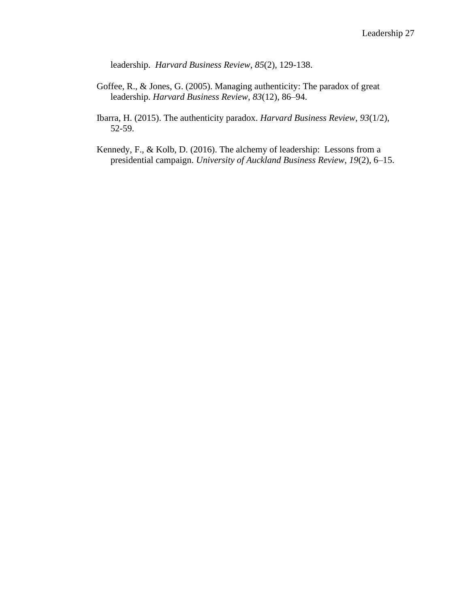leadership. *Harvard Business Review*, *85*(2), 129-138.

- Goffee, R., & Jones, G. (2005). Managing authenticity: The paradox of great leadership. *Harvard Business Review*, *83*(12), 86–94.
- Ibarra, H. (2015). The authenticity paradox. *Harvard Business Review*, *93*(1/2), 52-59.
- Kennedy, F., & Kolb, D. (2016). The alchemy of leadership: Lessons from a presidential campaign. *University of Auckland Business Review*, *19*(2), 6–15.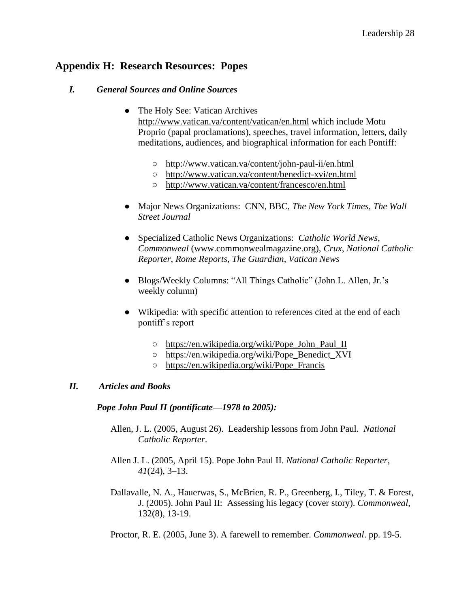## **Appendix H: Research Resources: Popes**

## *I. General Sources and Online Sources*

- The Holy See: Vatican Archives <http://www.vatican.va/content/vatican/en.html> which include Motu Proprio (papal proclamations), speeches, travel information, letters, daily meditations, audiences, and biographical information for each Pontiff:
	- <http://www.vatican.va/content/john-paul-ii/en.html>
	- <http://www.vatican.va/content/benedict-xvi/en.html>
	- <http://www.vatican.va/content/francesco/en.html>
- Major News Organizations: CNN, BBC, *The New York Times*, *The Wall Street Journal*
- Specialized Catholic News Organizations: *Catholic World News*, *Commonweal* (www.commonwealmagazine.org), *Crux*, *National Catholic Reporter*, *Rome Reports*, *The Guardian*, *Vatican News*
- Blogs/Weekly Columns: "All Things Catholic" (John L. Allen, Jr.'s weekly column)
- Wikipedia: with specific attention to references cited at the end of each pontiff's report
	- [https://en.wikipedia.org/wiki/Pope\\_John\\_Paul\\_II](https://en.wikipedia.org/wiki/Pope_John_Paul_II)
	- [https://en.wikipedia.org/wiki/Pope\\_Benedict\\_XVI](https://en.wikipedia.org/wiki/Pope_Benedict_XVI)
	- [https://en.wikipedia.org/wiki/Pope\\_Francis](https://en.wikipedia.org/wiki/Pope_Francis)

## *II. Articles and Books*

## *Pope John Paul II (pontificate—1978 to 2005):*

- Allen, J. L. (2005, August 26). Leadership lessons from John Paul. *National Catholic Reporter*.
- Allen J. L. (2005, April 15). Pope John Paul II. *National Catholic Reporter*, *41*(24), 3–13.
- Dallavalle, N. A., Hauerwas, S., McBrien, R. P., Greenberg, I., Tiley, T. & Forest, J. (2005). John Paul II: Assessing his legacy (cover story). *Commonweal*, 132(8), 13-19.

Proctor, R. E. (2005, June 3). A farewell to remember. *Commonweal*. pp. 19-5.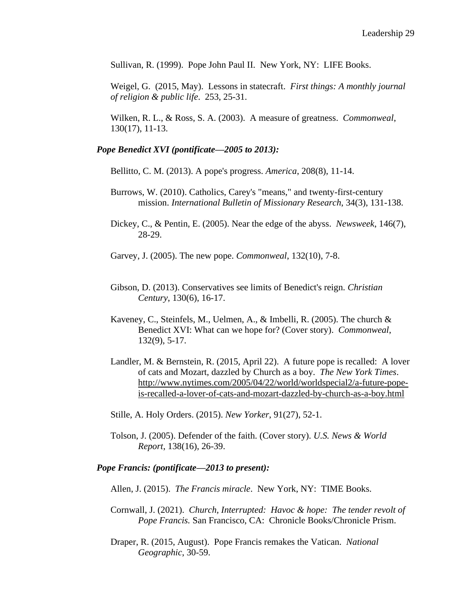Sullivan, R. (1999). Pope John Paul II. New York, NY: LIFE Books.

Weigel, G. (2015, May). Lessons in statecraft. *First things: A monthly journal of religion & public life*. 253, 25-31.

Wilken, R. L., & Ross, S. A. (2003). A measure of greatness. *Commonweal*, 130(17), 11-13.

#### *Pope Benedict XVI (pontificate—2005 to 2013):*

Bellitto, C. M. (2013). A pope's progress. *America*, 208(8), 11-14.

- Burrows, W. (2010). Catholics, Carey's "means," and twenty-first-century mission. *International Bulletin of Missionary Research*, 34(3), 131-138.
- Dickey, C., & Pentin, E. (2005). Near the edge of the abyss. *Newsweek*, 146(7), 28-29.

Garvey, J. (2005). The new pope. *Commonweal*, 132(10), 7-8.

- Gibson, D. (2013). Conservatives see limits of Benedict's reign. *Christian Century*, 130(6), 16-17.
- Kaveney, C., Steinfels, M., Uelmen, A., & Imbelli, R. (2005). The church & Benedict XVI: What can we hope for? (Cover story). *Commonweal*, 132(9), 5-17.
- Landler, M. & Bernstein, R. (2015, April 22). A future pope is recalled: A lover of cats and Mozart, dazzled by Church as a boy. *The New York Times*. [http://www.nytimes.com/2005/04/22/world/worldspecial2/a-future-pope](http://www.nytimes.com/2005/04/22/world/worldspecial2/a-future-pope-is-recalled-a-lover-of-cats-and-mozart-dazzled-by-church-as-a-boy.html)[is-recalled-a-lover-of-cats-and-mozart-dazzled-by-church-as-a-boy.html](http://www.nytimes.com/2005/04/22/world/worldspecial2/a-future-pope-is-recalled-a-lover-of-cats-and-mozart-dazzled-by-church-as-a-boy.html)
- Stille, A. Holy Orders. (2015). *New Yorker*, 91(27), 52-1.
- Tolson, J. (2005). Defender of the faith. (Cover story). *U.S. News & World Report*, 138(16), 26-39.

#### *Pope Francis: (pontificate—2013 to present):*

Allen, J. (2015). *The Francis miracle*. New York, NY: TIME Books.

- Cornwall, J. (2021). *Church, Interrupted: Havoc & hope: The tender revolt of Pope Francis.* San Francisco, CA: Chronicle Books/Chronicle Prism.
- Draper, R. (2015, August). Pope Francis remakes the Vatican. *National Geographic*, 30-59.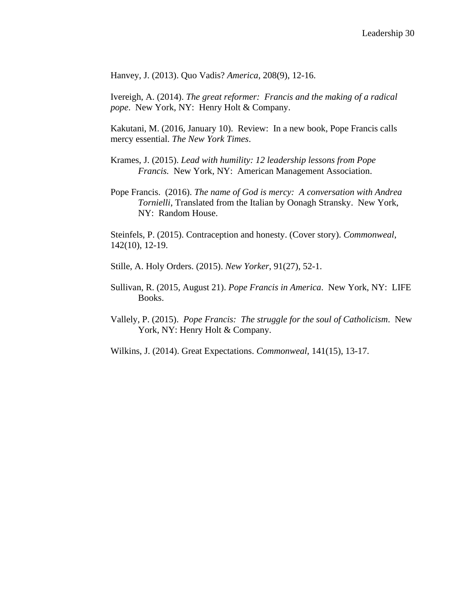Hanvey, J. (2013). Quo Vadis? *America*, 208(9), 12-16.

Ivereigh, A. (2014). *The great reformer: Francis and the making of a radical pope*. New York, NY: Henry Holt & Company.

Kakutani, M. (2016, January 10). Review: In a new book, Pope Francis calls mercy essential. *The New York Times*.

Krames, J. (2015). *Lead with humility: 12 leadership lessons from Pope Francis.* New York, NY: American Management Association.

Pope Francis. (2016). *The name of God is mercy: A conversation with Andrea Tornielli*, Translated from the Italian by Oonagh Stransky. New York, NY: Random House.

Steinfels, P. (2015). Contraception and honesty. (Cover story). *Commonweal*, 142(10), 12-19.

Stille, A. Holy Orders. (2015). *New Yorker*, 91(27), 52-1.

- Sullivan, R. (2015, August 21). *Pope Francis in America*. New York, NY: LIFE Books.
- Vallely, P. (2015). *Pope Francis: The struggle for the soul of Catholicism*. New York, NY: Henry Holt & Company.

Wilkins, J. (2014). Great Expectations. *Commonweal,* 141(15), 13-17.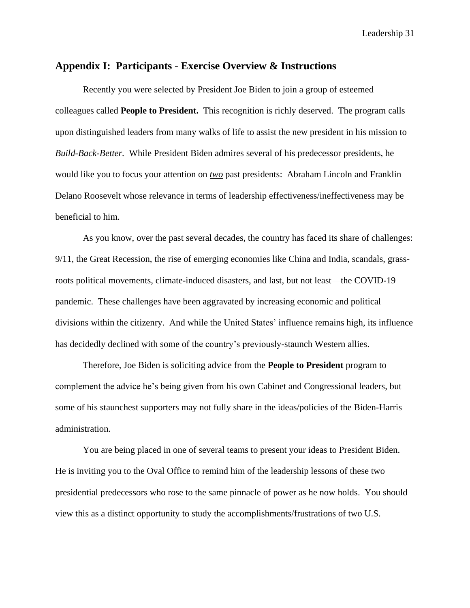## **Appendix I: Participants - Exercise Overview & Instructions**

Recently you were selected by President Joe Biden to join a group of esteemed colleagues called **People to President.** This recognition is richly deserved. The program calls upon distinguished leaders from many walks of life to assist the new president in his mission to *Build-Back-Better.* While President Biden admires several of his predecessor presidents, he would like you to focus your attention on *two* past presidents: Abraham Lincoln and Franklin Delano Roosevelt whose relevance in terms of leadership effectiveness/ineffectiveness may be beneficial to him.

As you know, over the past several decades, the country has faced its share of challenges: 9/11, the Great Recession, the rise of emerging economies like China and India, scandals, grassroots political movements, climate-induced disasters, and last, but not least—the COVID-19 pandemic. These challenges have been aggravated by increasing economic and political divisions within the citizenry. And while the United States' influence remains high, its influence has decidedly declined with some of the country's previously-staunch Western allies.

Therefore, Joe Biden is soliciting advice from the **People to President** program to complement the advice he's being given from his own Cabinet and Congressional leaders, but some of his staunchest supporters may not fully share in the ideas/policies of the Biden-Harris administration.

You are being placed in one of several teams to present your ideas to President Biden. He is inviting you to the Oval Office to remind him of the leadership lessons of these two presidential predecessors who rose to the same pinnacle of power as he now holds. You should view this as a distinct opportunity to study the accomplishments/frustrations of two U.S.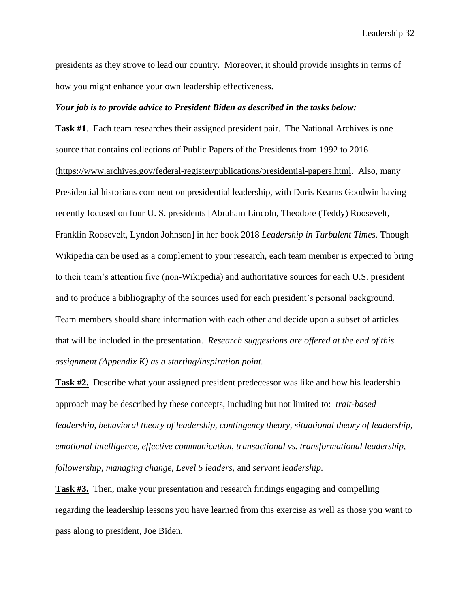presidents as they strove to lead our country. Moreover, it should provide insights in terms of how you might enhance your own leadership effectiveness.

#### *Your job is to provide advice to President Biden as described in the tasks below:*

**Task #1**. Each team researches their assigned president pair. The National Archives is one source that contains collections of Public Papers of the Presidents from 1992 to 2016 [\(https://www.archives.gov/federal-register/publications/presidential-papers.html.](https://www.archives.gov/federal-register/publications/presidential-papers.html) Also, many Presidential historians comment on presidential leadership, with Doris Kearns Goodwin having recently focused on four U. S. presidents [Abraham Lincoln, Theodore (Teddy) Roosevelt, Franklin Roosevelt, Lyndon Johnson] in her book 2018 *Leadership in Turbulent Times.* Though Wikipedia can be used as a complement to your research, each team member is expected to bring to their team's attention five (non-Wikipedia) and authoritative sources for each U.S. president and to produce a bibliography of the sources used for each president's personal background. Team members should share information with each other and decide upon a subset of articles that will be included in the presentation. *Research suggestions are offered at the end of this assignment (Appendix K) as a starting/inspiration point.* 

**Task #2.** Describe what your assigned president predecessor was like and how his leadership approach may be described by these concepts, including but not limited to: *trait-based leadership, behavioral theory of leadership, contingency theory, situational theory of leadership, emotional intelligence, effective communication, transactional vs. transformational leadership, followership, managing change, Level 5 leaders,* and *servant leadership.* 

**Task #3.** Then, make your presentation and research findings engaging and compelling regarding the leadership lessons you have learned from this exercise as well as those you want to pass along to president, Joe Biden.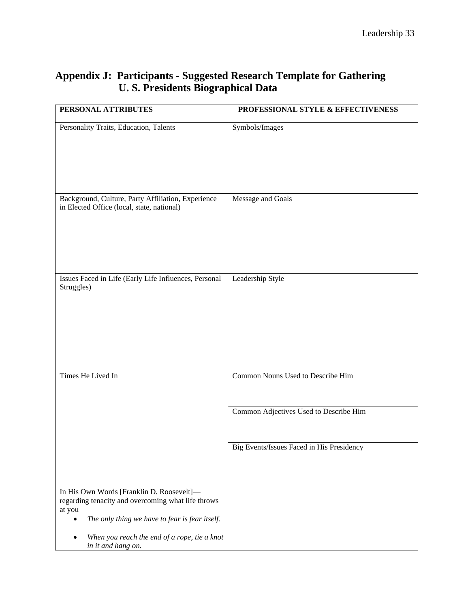| PERSONAL ATTRIBUTES                                                                              | PROFESSIONAL STYLE & EFFECTIVENESS        |
|--------------------------------------------------------------------------------------------------|-------------------------------------------|
| Personality Traits, Education, Talents                                                           | Symbols/Images                            |
| Background, Culture, Party Affiliation, Experience<br>in Elected Office (local, state, national) | Message and Goals                         |
| Issues Faced in Life (Early Life Influences, Personal<br>Struggles)                              | Leadership Style                          |
| Times He Lived In                                                                                | Common Nouns Used to Describe Him         |
|                                                                                                  | Common Adjectives Used to Describe Him    |
|                                                                                                  | Big Events/Issues Faced in His Presidency |
| In His Own Words [Franklin D. Roosevelt]-<br>regarding tenacity and overcoming what life throws  |                                           |
| at you                                                                                           |                                           |
| The only thing we have to fear is fear itself.<br>$\bullet$                                      |                                           |
| When you reach the end of a rope, tie a knot<br>in it and hang on.                               |                                           |

# **Appendix J: Participants - Suggested Research Template for Gathering U. S. Presidents Biographical Data**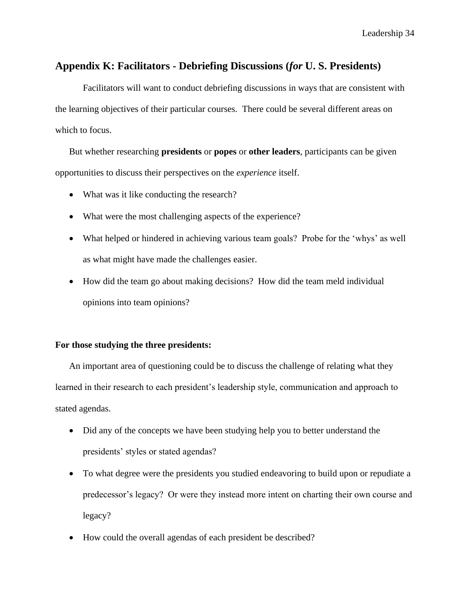## **Appendix K: Facilitators - Debriefing Discussions (***for* **U. S. Presidents)**

Facilitators will want to conduct debriefing discussions in ways that are consistent with the learning objectives of their particular courses. There could be several different areas on which to focus.

But whether researching **presidents** or **popes** or **other leaders**, participants can be given opportunities to discuss their perspectives on the *experience* itself.

- What was it like conducting the research?
- What were the most challenging aspects of the experience?
- What helped or hindered in achieving various team goals? Probe for the 'whys' as well as what might have made the challenges easier.
- How did the team go about making decisions? How did the team meld individual opinions into team opinions?

## **For those studying the three presidents:**

An important area of questioning could be to discuss the challenge of relating what they learned in their research to each president's leadership style, communication and approach to stated agendas.

- Did any of the concepts we have been studying help you to better understand the presidents' styles or stated agendas?
- To what degree were the presidents you studied endeavoring to build upon or repudiate a predecessor's legacy? Or were they instead more intent on charting their own course and legacy?
- How could the overall agendas of each president be described?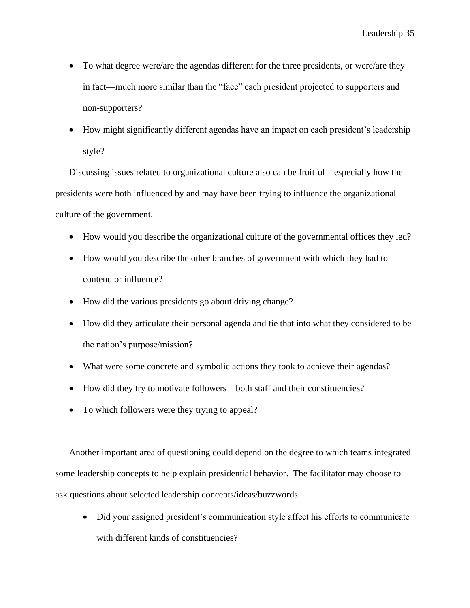- To what degree were/are the agendas different for the three presidents, or were/are they in fact—much more similar than the "face" each president projected to supporters and non-supporters?
- How might significantly different agendas have an impact on each president's leadership style?

Discussing issues related to organizational culture also can be fruitful—especially how the presidents were both influenced by and may have been trying to influence the organizational culture of the government.

- How would you describe the organizational culture of the governmental offices they led?
- How would you describe the other branches of government with which they had to contend or influence?
- How did the various presidents go about driving change?
- How did they articulate their personal agenda and tie that into what they considered to be the nation's purpose/mission?
- What were some concrete and symbolic actions they took to achieve their agendas?
- How did they try to motivate followers—both staff and their constituencies?
- To which followers were they trying to appeal?

Another important area of questioning could depend on the degree to which teams integrated some leadership concepts to help explain presidential behavior. The facilitator may choose to ask questions about selected leadership concepts/ideas/buzzwords.

• Did your assigned president's communication style affect his efforts to communicate with different kinds of constituencies?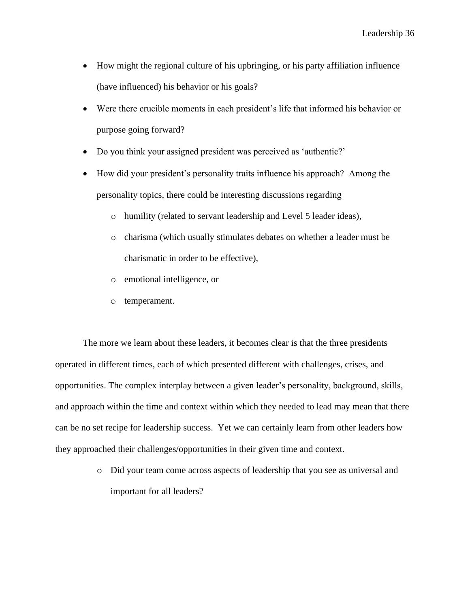- How might the regional culture of his upbringing, or his party affiliation influence (have influenced) his behavior or his goals?
- Were there crucible moments in each president's life that informed his behavior or purpose going forward?
- Do you think your assigned president was perceived as 'authentic?'
- How did your president's personality traits influence his approach? Among the personality topics, there could be interesting discussions regarding
	- o humility (related to servant leadership and Level 5 leader ideas),
	- o charisma (which usually stimulates debates on whether a leader must be charismatic in order to be effective),
	- o emotional intelligence, or
	- o temperament.

The more we learn about these leaders, it becomes clear is that the three presidents operated in different times, each of which presented different with challenges, crises, and opportunities. The complex interplay between a given leader's personality, background, skills, and approach within the time and context within which they needed to lead may mean that there can be no set recipe for leadership success. Yet we can certainly learn from other leaders how they approached their challenges/opportunities in their given time and context.

> o Did your team come across aspects of leadership that you see as universal and important for all leaders?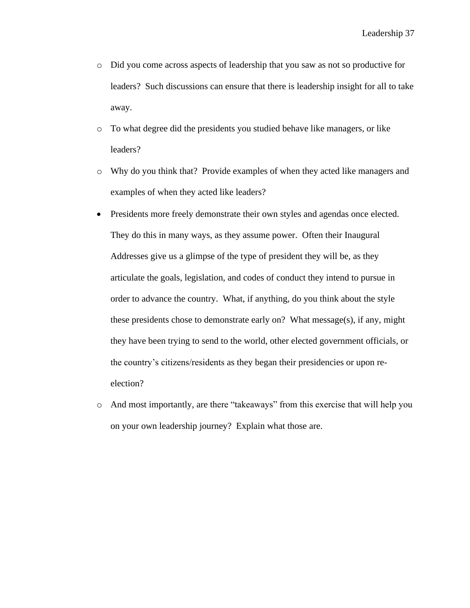- o Did you come across aspects of leadership that you saw as not so productive for leaders? Such discussions can ensure that there is leadership insight for all to take away.
- o To what degree did the presidents you studied behave like managers, or like leaders?
- o Why do you think that? Provide examples of when they acted like managers and examples of when they acted like leaders?
- Presidents more freely demonstrate their own styles and agendas once elected. They do this in many ways, as they assume power. Often their Inaugural Addresses give us a glimpse of the type of president they will be, as they articulate the goals, legislation, and codes of conduct they intend to pursue in order to advance the country. What, if anything, do you think about the style these presidents chose to demonstrate early on? What message(s), if any, might they have been trying to send to the world, other elected government officials, or the country's citizens/residents as they began their presidencies or upon reelection?
- o And most importantly, are there "takeaways" from this exercise that will help you on your own leadership journey? Explain what those are.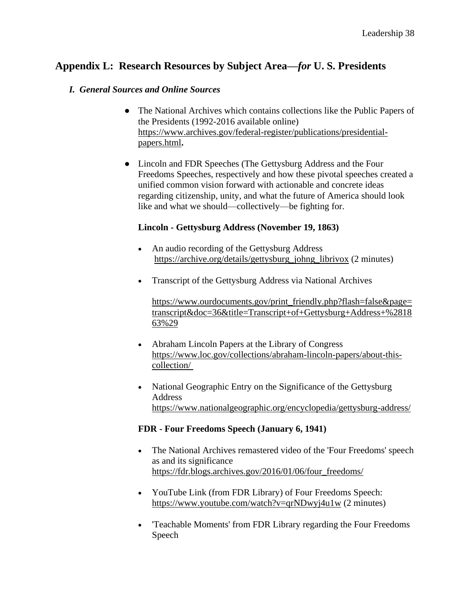# **Appendix L: Research Resources by Subject Area—***for* **U. S. Presidents**

## *I. General Sources and Online Sources*

- The National Archives which contains collections like the Public Papers of the Presidents (1992-2016 available online) [https://www.archives.gov/federal-register/publications/presidential](https://www.archives.gov/federal-register/publications/presidential-papers.html)[papers.html](https://www.archives.gov/federal-register/publications/presidential-papers.html)**.**
- Lincoln and FDR Speeches (The Gettysburg Address and the Four Freedoms Speeches, respectively and how these pivotal speeches created a unified common vision forward with actionable and concrete ideas regarding citizenship, unity, and what the future of America should look like and what we should—collectively—be fighting for.

## **Lincoln - Gettysburg Address (November 19, 1863)**

- An audio recording of the Gettysburg Address [https://archive.org/details/gettysburg\\_johng\\_librivox](https://archive.org/details/gettysburg_johng_librivox) (2 minutes)
- Transcript of the Gettysburg Address via National Archives

[https://www.ourdocuments.gov/print\\_friendly.php?flash=false&page=](https://www.ourdocuments.gov/print_friendly.php?flash=false&page=transcript&doc=36&title=Transcript+of+Gettysburg+Address+%281863%29) [transcript&doc=36&title=Transcript+of+Gettysburg+Address+%2818](https://www.ourdocuments.gov/print_friendly.php?flash=false&page=transcript&doc=36&title=Transcript+of+Gettysburg+Address+%281863%29) [63%29](https://www.ourdocuments.gov/print_friendly.php?flash=false&page=transcript&doc=36&title=Transcript+of+Gettysburg+Address+%281863%29)

- Abraham Lincoln Papers at the Library of Congress [https://www.loc.gov/collections/abraham-lincoln-papers/about-this](https://www.loc.gov/collections/abraham-lincoln-papers/about-this-collection/ )[collection/](https://www.loc.gov/collections/abraham-lincoln-papers/about-this-collection/ )
- National Geographic Entry on the Significance of the Gettysburg Address <https://www.nationalgeographic.org/encyclopedia/gettysburg-address/>

## **FDR - Four Freedoms Speech (January 6, 1941)**

- The National Archives remastered video of the 'Four Freedoms' speech as and its significance [https://fdr.blogs.archives.gov/2016/01/06/four\\_freedoms/](https://fdr.blogs.archives.gov/2016/01/06/four_freedoms/)
- YouTube Link (from FDR Library) of Four Freedoms Speech: <https://www.youtube.com/watch?v=qrNDwyj4u1w> (2 minutes)
- 'Teachable Moments' from FDR Library regarding the Four Freedoms Speech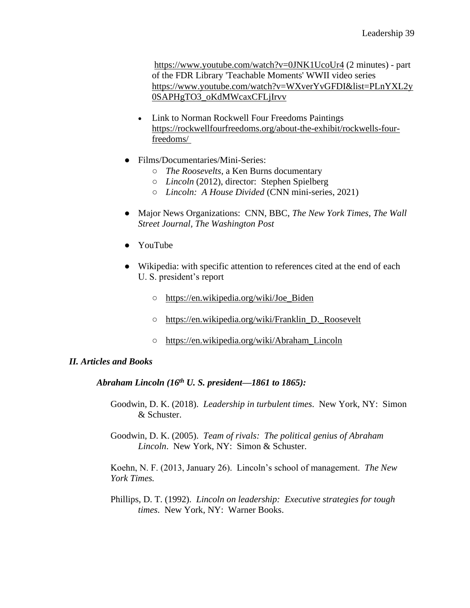<https://www.youtube.com/watch?v=0JNK1UcoUr4> (2 minutes) - part of the FDR Library 'Teachable Moments' WWII video series [https://www.youtube.com/watch?v=WXverYvGFDI&list=PLnYXL2y](https://www.youtube.com/watch?v=WXverYvGFDI&list=PLnYXL2y0SAPHgTO3_oKdMWcaxCFLjIrvv) [0SAPHgTO3\\_oKdMWcaxCFLjIrvv](https://www.youtube.com/watch?v=WXverYvGFDI&list=PLnYXL2y0SAPHgTO3_oKdMWcaxCFLjIrvv)

- Link to Norman Rockwell Four Freedoms Paintings [https://rockwellfourfreedoms.org/about-the-exhibit/rockwells-four](https://rockwellfourfreedoms.org/about-the-exhibit/rockwells-four-freedoms/ )[freedoms/](https://rockwellfourfreedoms.org/about-the-exhibit/rockwells-four-freedoms/ )
- Films/Documentaries/Mini-Series:
	- *The Roosevelts*, a Ken Burns documentary
	- *Lincoln* (2012), director: Stephen Spielberg
	- *Lincoln: A House Divided* (CNN mini-series, 2021)
- Major News Organizations: CNN, BBC, *The New York Times*, *The Wall Street Journal, The Washington Post*
- YouTube
- Wikipedia: with specific attention to references cited at the end of each U. S. president's report
	- [https://en.wikipedia.org/wiki/Joe\\_Biden](https://en.wikipedia.org/wiki/Joe_Biden)
	- [https://en.wikipedia.org/wiki/Franklin\\_D.\\_Roosevelt](https://en.wikipedia.org/wiki/Franklin_D._Roosevelt)
	- [https://en.wikipedia.org/wiki/Abraham\\_Lincoln](https://en.wikipedia.org/wiki/Abraham_Lincoln)

## *II. Articles and Books*

*Abraham Lincoln (16th U. S. president—1861 to 1865):*

- Goodwin, D. K. (2018). *Leadership in turbulent times*. New York, NY: Simon & Schuster.
- Goodwin, D. K. (2005). *Team of rivals: The political genius of Abraham Lincoln*. New York, NY: Simon & Schuster.

Koehn, N. F. (2013, January 26). Lincoln's school of management. *The New York Times.*

Phillips, D. T. (1992). *Lincoln on leadership: Executive strategies for tough times*. New York, NY: Warner Books.